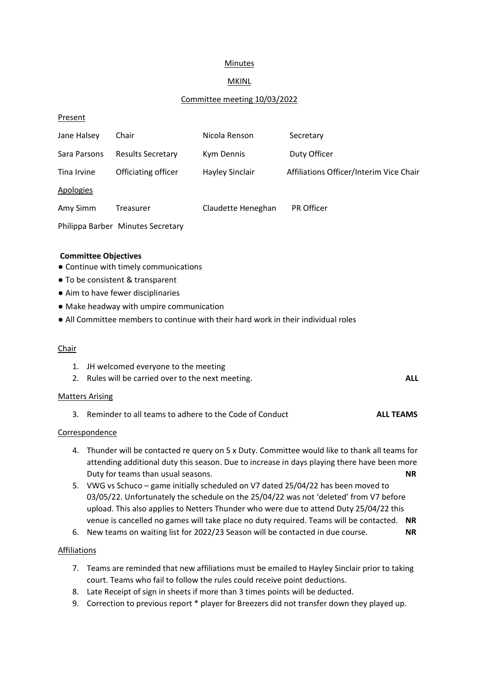# **Minutes**

# MKINL

### Committee meeting 10/03/2022

### **Present**

| Jane Halsey  | Chair                             | Nicola Renson          | Secretary                               |
|--------------|-----------------------------------|------------------------|-----------------------------------------|
| Sara Parsons | <b>Results Secretary</b>          | Kym Dennis             | Duty Officer                            |
| Tina Irvine  | Officiating officer               | <b>Hayley Sinclair</b> | Affiliations Officer/Interim Vice Chair |
| Apologies    |                                   |                        |                                         |
| Amy Simm     | Treasurer                         | Claudette Heneghan     | <b>PR Officer</b>                       |
|              | Philippa Barber Minutes Secretary |                        |                                         |

### **Committee Objectives**

- Continue with timely communications
- To be consistent & transparent
- Aim to have fewer disciplinaries
- Make headway with umpire communication
- All Committee members to continue with their hard work in their individual roles

#### Chair

- 1. JH welcomed everyone to the meeting
- 2. Rules will be carried over to the next meeting. **ALL**

#### Matters Arising

3. Reminder to all teams to adhere to the Code of Conduct **ALL TEAMS**

### Correspondence

- 4. Thunder will be contacted re query on 5 x Duty. Committee would like to thank all teams for attending additional duty this season. Due to increase in days playing there have been more Duty for teams than usual seasons. **NR**
- 5. VWG vs Schuco game initially scheduled on V7 dated 25/04/22 has been moved to 03/05/22. Unfortunately the schedule on the 25/04/22 was not 'deleted' from V7 before upload. This also applies to Netters Thunder who were due to attend Duty 25/04/22 this venue is cancelled no games will take place no duty required. Teams will be contacted. **NR**
- 6. New teams on waiting list for 2022/23 Season will be contacted in due course. **NR**

### Affiliations

- 7. Teams are reminded that new affiliations must be emailed to Hayley Sinclair prior to taking court. Teams who fail to follow the rules could receive point deductions.
- 8. Late Receipt of sign in sheets if more than 3 times points will be deducted.
- 9. Correction to previous report \* player for Breezers did not transfer down they played up.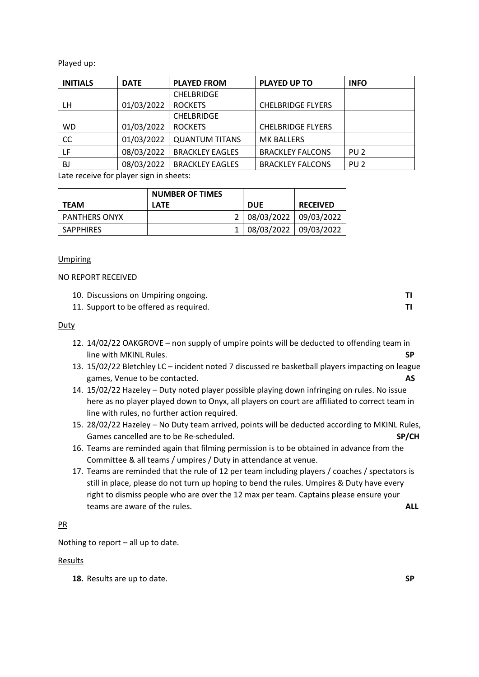Played up:

| <b>INITIALS</b>                                        | <b>DATE</b> | <b>PLAYED FROM</b>     | <b>PLAYED UP TO</b>      | <b>INFO</b>     |
|--------------------------------------------------------|-------------|------------------------|--------------------------|-----------------|
|                                                        |             | <b>CHELBRIDGE</b>      |                          |                 |
| LН                                                     | 01/03/2022  | <b>ROCKETS</b>         | <b>CHELBRIDGE FLYERS</b> |                 |
|                                                        |             | <b>CHELBRIDGE</b>      |                          |                 |
| <b>WD</b>                                              | 01/03/2022  | <b>ROCKETS</b>         | <b>CHELBRIDGE FLYERS</b> |                 |
| CC                                                     | 01/03/2022  | <b>QUANTUM TITANS</b>  | <b>MK BALLERS</b>        |                 |
| LF                                                     | 08/03/2022  | <b>BRACKLEY EAGLES</b> | <b>BRACKLEY FALCONS</b>  | PU <sub>2</sub> |
| BJ                                                     | 08/03/2022  | <b>BRACKLEY EAGLES</b> | <b>BRACKLEY FALCONS</b>  | PU <sub>2</sub> |
| that a back of the family because after the shape star |             |                        |                          |                 |

Late receive for player sign in sheets:

|                      | <b>NUMBER OF TIMES</b> |                       |                 |
|----------------------|------------------------|-----------------------|-----------------|
| <b>TEAM</b>          | <b>LATE</b>            | <b>DUE</b>            | <b>RECEIVED</b> |
| <b>PANTHERS ONYX</b> |                        | 08/03/2022 09/03/2022 |                 |
| <b>SAPPHIRES</b>     |                        | 08/03/2022 09/03/2022 |                 |

### **Umpiring**

NO REPORT RECEIVED

| 10. Discussions on Umpiring ongoing. |  |
|--------------------------------------|--|
|--------------------------------------|--|

11. Support to be offered as required. **TI**

### Duty

- 12. 14/02/22 OAKGROVE non supply of umpire points will be deducted to offending team in line with MKINL Rules. **SP**
- 13. 15/02/22 Bletchley LC incident noted 7 discussed re basketball players impacting on league games, Venue to be contacted. **AS**
- 14. 15/02/22 Hazeley Duty noted player possible playing down infringing on rules. No issue here as no player played down to Onyx, all players on court are affiliated to correct team in line with rules, no further action required.
- 15. 28/02/22 Hazeley No Duty team arrived, points will be deducted according to MKINL Rules, Games cancelled are to be Re-scheduled. **SP/CH**
- 16. Teams are reminded again that filming permission is to be obtained in advance from the Committee & all teams / umpires / Duty in attendance at venue.
- 17. Teams are reminded that the rule of 12 per team including players / coaches / spectators is still in place, please do not turn up hoping to bend the rules. Umpires & Duty have every right to dismiss people who are over the 12 max per team. Captains please ensure your teams are aware of the rules. **ALL**

### PR

Nothing to report – all up to date.

### **Results**

**18.** Results are up to date. **SP**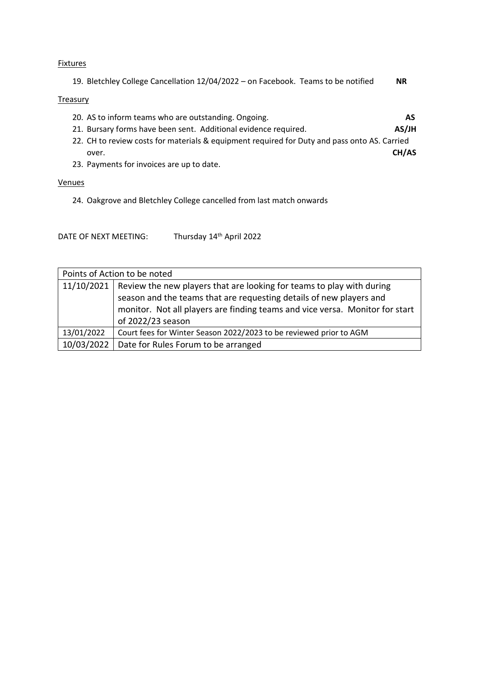#### **Fixtures**

| 19. Bletchley College Cancellation 12/04/2022 - on Facebook. Teams to be notified | NR. |
|-----------------------------------------------------------------------------------|-----|
|                                                                                   |     |

### **Treasury**

- 20. AS to inform teams who are outstanding. Ongoing. **AS**
- 21. Bursary forms have been sent. Additional evidence required. **AS/JH**
- 22. CH to review costs for materials & equipment required for Duty and pass onto AS. Carried over. **CH/AS**
- 23. Payments for invoices are up to date.

#### Venues

24. Oakgrove and Bletchley College cancelled from last match onwards

DATE OF NEXT MEETING: Thursday 14<sup>th</sup> April 2022

| Points of Action to be noted |                                                                                    |  |
|------------------------------|------------------------------------------------------------------------------------|--|
|                              | 11/10/2021   Review the new players that are looking for teams to play with during |  |
|                              | season and the teams that are requesting details of new players and                |  |
|                              | monitor. Not all players are finding teams and vice versa. Monitor for start       |  |
|                              | of 2022/23 season                                                                  |  |
| 13/01/2022                   | Court fees for Winter Season 2022/2023 to be reviewed prior to AGM                 |  |
| 10/03/2022                   | Date for Rules Forum to be arranged                                                |  |